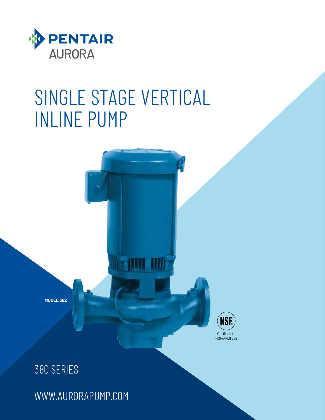

### SINGLE STAGE VERTICAL INLINE PUMP



380 SERIES

**MODEL 382**

WWW.AURORAPUMP.COM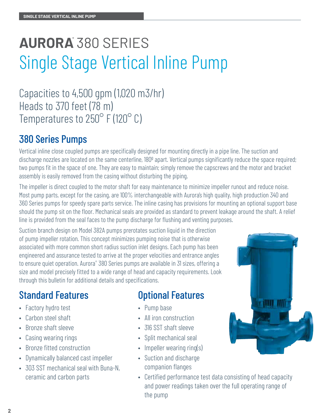### **AURORA®** 380 SERIES Single Stage Vertical Inline Pump

Capacities to 4,500 gpm (1,020 m3/hr) Heads to 370 feet (78 m) Temperatures to 250° F (120° C)

### 380 Series Pumps

Vertical inline close coupled pumps are specifically designed for mounting directly in a pipe line. The suction and discharge nozzles are located on the same centerline, 180<sup>°</sup> apart. Vertical pumps significantly reduce the space required; two pumps fit in the space of one. They are easy to maintain; simply remove the capscrews and the motor and bracket assembly is easily removed from the casing without disturbing the piping.

The impeller is direct coupled to the motor shaft for easy maintenance to minimize impeller runout and reduce noise. Most pump parts, except for the casing, are 100% interchangeable with Aurora's high quality, high production 340 and 360 Series pumps for speedy spare parts service. The inline casing has provisions for mounting an optional support base should the pump sit on the floor. Mechanical seals are provided as standard to prevent leakage around the shaft. A relief line is provided from the seal faces to the pump discharge for flushing and venting purposes.

Suction branch design on Model 382A pumps prerotates suction liquid in the direction of pump impeller rotation. This concept minimizes pumping noise that is otherwise associated with more common short radius suction inlet designs. Each pump has been engineered and assurance tested to arrive at the proper velocities and entrance angles to ensure quiet operation. Aurora® 380 Series pumps are available in 31 sizes, offering a size and model precisely fitted to a wide range of head and capacity requirements. Look through this bulletin for additional details and specifications.

### Standard Features

- Factory hydro test
- Carbon steel shaft
- Bronze shaft sleeve
- Casing wearing rings
- Bronze fitted construction
- Dynamically balanced cast impeller
- 303 SST mechanical seal with Buna-N, ceramic and carbon parts

#### Optional Features

- Pump base
- All iron construction
- 316 SST shaft sleeve
- Split mechanical seal
- Impeller wearing ring(s)
- Suction and discharge companion flanges
- Certified performance test data consisting of head capacity and power readings taken over the full operating range of the pump

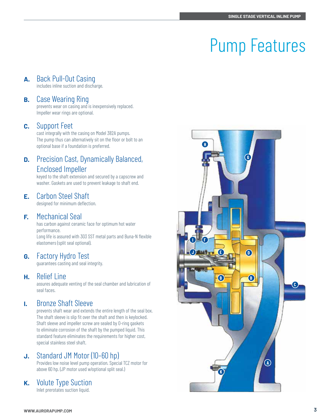#### **A.** Back Pull-Out Casing

includes inline suction and discharge.

#### **B.** Case Wearing Ring

prevents wear on casing and is inexpensively replaced. Impeller wear rings are optional.

#### **C.** Support Feet

cast integrally with the casing on Model 382A pumps. The pump thus can alternatively sit on the floor or bolt to an optional base if a foundation is preferred.

#### **D.** Precision Cast, Dynamically Balanced, Enclosed Impeller

keyed to the shaft extension and secured by a capscrew and washer. Gaskets are used to prevent leakage to shaft end.

#### **E.** Carbon Steel Shaft

designed for minimum deflection.

#### **F.** Mechanical Seal

has carbon against ceramic face for optimum hot water performance. Long life is assured with 303 SST metal parts and Buna-N flexible elastomers (split seal optional).

#### **G.** Factory Hydro Test

guarantees casting and seal integrity.

#### **H.** Relief Line

assures adequate venting of the seal chamber and lubrication of seal faces.

#### **I.** Bronze Shaft Sleeve

prevents shaft wear and extends the entire length of the seal box. The shaft sleeve is slip fit over the shaft and then is keylocked. Shaft sleeve and impeller screw are sealed by O-ring gaskets to eliminate corrosion of the shaft by the pumped liquid. This standard feature eliminates the requirements for higher cost, special stainless steel shaft.

#### **J.** Standard JM Motor (10–60 hp)

Provides low noise level pump operation. Special TCZ motor for above 60 hp. (JP motor used w/optional split seal.)

#### **K.** Volute Type Suction

Inlet prerotates suction liquid.

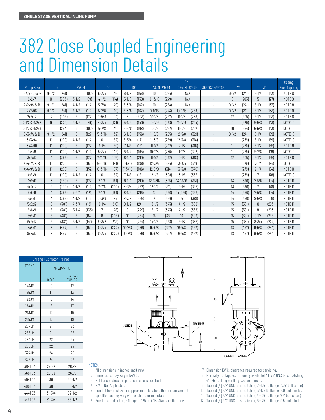### 382 Close Coupled Engineering and Dimension Details

|                  |           |       |                 |       |             |       | $\overline{D}$ H |       |                    |       |             |       |                          |               |       | Casing    |       |                   |
|------------------|-----------|-------|-----------------|-------|-------------|-------|------------------|-------|--------------------|-------|-------------|-------|--------------------------|---------------|-------|-----------|-------|-------------------|
| <b>Pump Size</b> | $\chi$    |       | BW (Min.)       |       | DC.         |       | <b>DE</b>        |       | 143JM-215JM        |       | 254JM-326JM |       | 365TCZ-445TCZ            | YY            |       | VD        |       | Feet Tapping      |
| 1-1/2x1-1/2x9B   | $9 - 1/2$ | (241) | 4               | (102) | $5 - 3/4$   | (146) | $6 - 1/8$        | (156) | 10                 | (254) | N/A         |       | $\overline{\phantom{a}}$ | $9 - 1/2$     | (241) | $5 - 1/4$ | (133) | NOTF <sub>8</sub> |
| 2x2x7            | 8         | (203) | $3 - 1/2$       | (89)  | $4 - 1/2$   | (114) | $5 - 1/8$        | (130) | $9 - 13/16$        | (249) | N/A         |       | $\qquad \qquad -$        | $\mathcal{B}$ | (203) | 5         | (127) | NOTE <sub>9</sub> |
| 2x2x9A & B       | $9 - 1/2$ | (241) | $4 - 1/2$       | (114) | $5 - 7/8$   | (149) | $6 - 3/8$        | (162) | 10 <sup>10</sup>   | (254) | N/A         |       | $\overline{\phantom{0}}$ | $9 - 1/2$     | (241) | $5 - 1/4$ | (133) | NOTE 8            |
| 2x2x9C           | $9 - 1/2$ | (241) | $4 - 1/2$       | (114) | $5 - 7/8$   | (149) | $6 - 3/8$        | (162) | $9 - 9/16$         | (243) | $10 - 9/16$ | (268) | $\overline{\phantom{a}}$ | $9 - 1/2$     | (241) | $5 - 1/4$ | (133) | NOTE <sub>9</sub> |
| 2x2x12           | 12        | (305) | 5               | (127) | $7 - 5/8$   | (194) | 8                | (203) | $10 - 1/8$         | (257) | $11 - 1/8$  | (283) | $\overline{\phantom{a}}$ | 12            | (305) | $5 - 1/4$ | (133) | NOTE 8            |
| 2-1/2x2-1/2x7    | 9         | (229) | $3 - 1/2$       | (89)  | $4 - 3/4$   | (121) | $5 - 1/2$        | (140) | $10 - 9/16$        | (268) | $11 - 9/16$ | (294) | $\overline{\phantom{a}}$ | 9             | (229) | $5 - 5/8$ | (143) | <b>NOTE 10</b>    |
| 2-1/2x2-1/2x9    | 10        | (254) | 4               | (102) | $5 - 7/8$   | (149) | $6 - 5/8$        | (168) | $10 - 1/2$         | (267) | $11 - 1/2$  | (292) | $\overline{\phantom{a}}$ | 10            | (254) | $5 - 5/8$ | (143) | NOTE 10           |
| 3x3x7A & B       | $9 - 1/2$ | (241) | 5               | (127) | $5 - 3/16$  | (132) | $6 - 1/8$        | (156) | $11 - 5/8$         | (295) | $12 - 5/8$  | (321) | $\overline{\phantom{a}}$ | $9 - 1/2$     | (241) | $6 - 1/4$ | (159) | <b>NOTE 10</b>    |
| 3x3x9A           | 11        | (279) | $4 - 1/2$       | (114) | 6           | (152) | $6 - 3/4$        | (171) | $11 - \frac{3}{8}$ | (289) | $12 - 3/8$  | (314) | $\overline{\phantom{a}}$ | 11            | (279) | $6 - 1/4$ | (159) | NOTE 10           |
| 3x3x9B           | 11        | (279) | 5               | (127) | $6 - 1/4$   | (159) | $7 - 1/8$        | (181) | $11 - 1/2$         | (292) | $12 - 1/2$  | (318) | $\overline{\phantom{a}}$ | 11            | (279) | $6 - 1/2$ | (165) | NOTE <sub>8</sub> |
| 3x4x9            | 11        | (279) | $4 - 1/2$       | (114) | $5 - 3/4$   | (146) | $6-1/2$          | (165) | $10 - 7/8$         | (276) | $11 - 7/8$  | (302) | ÷                        | 11            | (279) | $5 - 7/8$ | (149) | NOTE 10           |
| 3x3x12           | 14        | (356) | 5               | (127) | $7 - 11/16$ | (195) | $8 - 1/4$        | (210) | $11 - 1/2$         | (292) | $12 - 1/2$  | (318) | $\qquad \qquad -$        | 12            | (305) | $6 - 1/2$ | (165) | NOTE 8            |
| 4x4x7A & B       | 11        | (279) | $6\overline{6}$ | (152) | $5 - 9/16$  | (141) | $7 - 5/16$       | (186) | $12 - 3/4$         | (324) | $13 - 3/4$  | (349) | $\overline{\phantom{a}}$ | 11            | (279) | $7 - 1/4$ | (184) | <b>NOTE 10</b>    |
| 4x4x9A & B       | 11        | (279) | 6               | (152) | $6 - 3/16$  | (157) | $7 - 5/16$       | (186) | $12 - 3/8$         | (314) | $13 - 3/8$  | (340) | $\overline{\phantom{a}}$ | 11            | (279) | $7 - 1/4$ | (184) | NOTE 8            |
| 4x5x9            | 11        | (279) | $4 - 1/2$       | (114) | 6           | (152) | $7 - 1/8$        | (181) | $12 - 1/8$         | (308) | $13 - 1/8$  | (333) | $\overline{\phantom{a}}$ | 11            | (279) | 7         | (178) | NOTE 10           |
| 4x4x11           | 13        | (330) | 5               | (127) | $7 - 1/8$   | (181) | $8 - 1/4$        | (210) | $12 - 13/16$       | (325) | 13-13/16    | (351) | $\qquad \qquad -$        | 13            | (330) | $7 - 5/8$ | (194) | <b>NOTE 11</b>    |
| 4x4x12           | 13        | (330) | $4 - 1/2$       | (114) | $7 - 7/8$   | (200) | $8 - 3/4$        | (222) | $12 - 1/4$         | (311) | $13 - 1/4$  | (337) | $\overline{\phantom{a}}$ | 13            | (330) | 7         | (178) | <b>NOTF 11</b>    |
| 5x5x9            | 14        | (356) | $4 - 3/4$       | (121) | $7 - 1/8$   | (181) | $8 - 1/2$        | (216) | 13                 | (330) | 14 (356)    | (356) | $\overline{\phantom{a}}$ | 14            | (356) | $7 - 5/8$ | (194) | <b>NOTE 11</b>    |
| 5x5x11           | 14        | (356) | $4 - 1/2$       | (114) | $7 - 3/8$   | (187) | $8 - 7/8$        | (225) | 14                 | (356) | 15          | (381) | $\overline{\phantom{a}}$ | 14            | (356) | $8 - 5/8$ | (219) | <b>NOTE 11</b>    |
| 5x5x12           | 15        | (381) | $4 - 3/4$       | (121) | $8 - 1/4$   | (210) | $9 - 1/2$        | (241) | $13 - 1/2$         | (343) | $14 - 1/2$  | (368) | $\overline{\phantom{a}}$ | 15            | (381) | 8         | (203) | <b>NOTE 11</b>    |
| 6x6x9            | 15        | (381) | $5 - 1/4$       | (133) | 7           | (178) | 9                | (229) | $13 - 1/2$         | (343) | $14 - 1/2$  | (368) | $\overline{\phantom{a}}$ | 15            | (381) | 8         | (203) | <b>NOTF 11</b>    |
| 6x6x11           | 15        | (381) | 6               | (152) | 8           | (203) | 10               | (254) | 15                 | (381) | 16          | (406) | $\overline{\phantom{a}}$ | 15            | (381) | $9 - 1/4$ | (235) | <b>NOTE 11</b>    |
| 6x6x12           | 15        | (381) | $5 - 1/2$       | (140) | $8 - 3/8$   | (213) | 10               | (254) | $14 - 1/2$         | (368) | $15 - 1/2$  | (387) | $\overline{\phantom{a}}$ | 15            | (381) | $8 - 3/4$ | (222) | <b>NOTF11</b>     |
| 8x8x11           | 18        | (457) | $6\phantom{1}$  | (152) | $8 - 3/4$   | (222) | $10 - 7/8$       | (276) | $15 - 5/8$         | (397) | $16 - 5/8$  | (422) | $\overline{\phantom{a}}$ | 18            | (457) | $9 - 5/8$ | (244) | <b>NOTE 11</b>    |
| 8x8x12           | 18        | (457) | 6               | (152) | $8 - 3/4$   | (222) | $10 - 7/8$       | (276) | $15 - 5/8$         | (397) | $16 - 5/8$  | (422) | $\overline{\phantom{a}}$ | 18            | (457) | $9 - 5/8$ | (244) | <b>NOTF 11</b>    |

| <b>JM</b> and TCZ Motor Frames |            |            |  |  |  |
|--------------------------------|------------|------------|--|--|--|
| <b>FRAMF</b>                   | AG APPROX. |            |  |  |  |
|                                | T.F.F.C.   |            |  |  |  |
|                                | 0.D.P.     | EXP. PR.   |  |  |  |
| 143JM                          | 10         | 12         |  |  |  |
| 145JM                          | 11         | 13         |  |  |  |
| 182JM                          | 12         | 14         |  |  |  |
| 184JM                          | 15         | 17         |  |  |  |
| 213JM                          | 17         | 19         |  |  |  |
| 215JM                          | 17         | 19         |  |  |  |
| 254JM                          | 21         | 23         |  |  |  |
| 256JM                          | 21         | 23         |  |  |  |
| 284JM                          | 22         | 24         |  |  |  |
| 286JM                          | 22         | 74         |  |  |  |
| 324JM                          | 24         | 26         |  |  |  |
| 326JM                          | 24         | 26         |  |  |  |
| 364TC7                         | 25.62      | 26.88      |  |  |  |
| 365TCZ                         | 25.62      | 26.88      |  |  |  |
| 404TCZ                         | 30         | 30-1/2     |  |  |  |
| 405TCZ                         | 30         | $30 - 1/2$ |  |  |  |
| 444TC7                         | $31 - 3/4$ | $32 - 1/2$ |  |  |  |
| 445TCZ                         | $31 - 3/4$ | $35 - 1/2$ |  |  |  |



NOTES:

1. All dimensions in inches and (mm).

2. Dimensions may vary  $\pm$  1/4" (6).

3. Not for construction purposes unless certified.

4. N/A = Not Applicable.

- 5. Conduit box is shown in approximate location. Dimensions are not specified as they vary with each motor manufacturer.
- 6. Suction and discharge flanges 125 lb. ANSI Standard flat face.
- 7. Dimension BW is clearance required for servicing.
- 8. Normally not tapped. Optionally available [4] 5/8" UNC taps matching 4"–125 lb. flange drilling (7.5" bolt circle).
- 9. Tapped [4] 5/8" UNC taps matching 2"-125 lb. flange (4.75" bolt circle).
- 10. Tapped [4] 5/8" UNC taps matching 3"-125 lb. flange (6.0" bolt circle).
- 11. Tapped [4] 5/8" UNC taps matching 4"-125 lb. flange (7.5" bolt circle).
- 12. Tapped [4] 3/4" UNC taps matching 6"-125 lb. flange (9.5" bolt circle).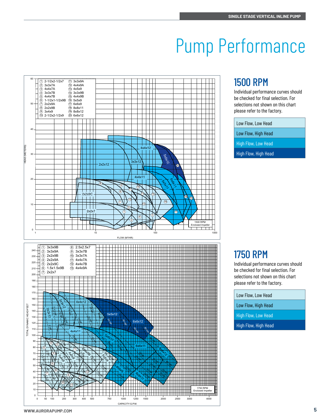### Pump Performance



#### 1500 RPM

Individual performance curves should be checked for final selection. For selections not shown on this chart please refer to the factory.

| Low Flow, Low Head         |  |
|----------------------------|--|
| Low Flow, High Head        |  |
| <b>High Flow, Low Head</b> |  |
| High Flow, High Head       |  |

#### 1750 RPM

Individual performance curves should be checked for final selection. For selections not shown on this chart please refer to the factory.

| Low Flow, Low Head   |
|----------------------|
| Low Flow, High Head  |
| High Flow, Low Head  |
| High Flow, High Head |
|                      |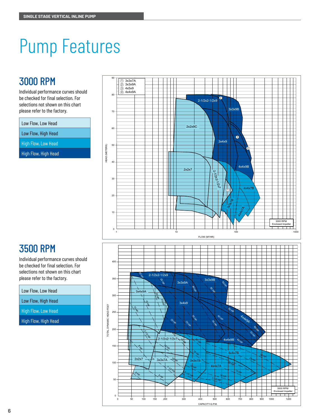#### 3000 RPM

Individual performance curves should be checked for final selection. For selections not shown on this chart please refer to the factory.

Low Flow, Low Head

Low Flow, High Head

High Flow, Low Head

High Flow, High Head



#### 3500 RPM

Individual performance curves should be checked for final selection. For selections not shown on this chart please refer to the factory.

| Low Flow, Low Head         |
|----------------------------|
| Low Flow, High Head        |
| <b>High Flow, Low Head</b> |
| High Flow, High Head       |
|                            |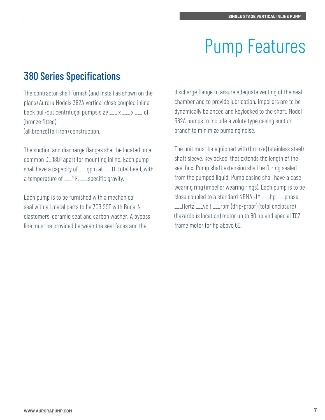### 380 Series Specifications

The contractor shall furnish (and install as shown on the plans) Aurora Models 382A vertical close coupled inline back pull-out centrifugal pumps size \_\_\_ x \_\_\_ x \_\_\_ of (bronze fitted) (all bronze) (all iron) construction.

The suction and discharge flanges shall be located on a common CL 180º apart for mounting inline. Each pump shall have a capacity of \_\_\_gpm at \_\_\_ft. total head, with a temperature of  $\angle 2$  F,  $\angle 2$  specific gravity.

Each pump is to be furnished with a mechanical seal with all metal parts to be 303 SST with Buna-N elastomers, ceramic seat and carbon washer. A bypass line must be provided between the seal faces and the

discharge flange to assure adequate venting of the seal chamber and to provide lubrication. Impellers are to be dynamically balanced and keylocked to the shaft. Model 382A pumps to include a volute type casing suction branch to minimize pumping noise.

The unit must be equipped with (bronze) (stainless steel) shaft sleeve, keylocked, that extends the length of the seal box. Pump shaft extension shall be O-ring sealed from the pumped liquid. Pump casing shall have a case wearing ring (impeller wearing rings). Each pump is to be close coupled to a standard NEMA-JM \_\_\_hp \_\_\_phase \_\_\_Hertz \_\_\_volt \_\_\_rpm (drip-proof) (total enclosure) (hazardous location) motor up to 60 hp and special TCZ frame motor for hp above 60.